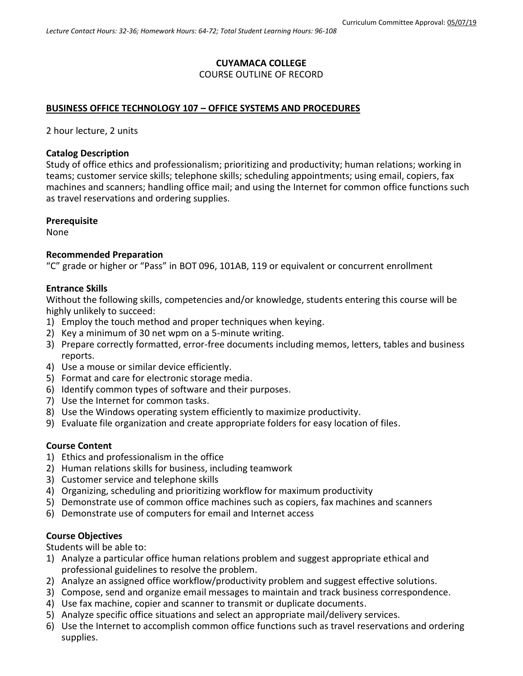# **CUYAMACA COLLEGE**

#### COURSE OUTLINE OF RECORD

#### **BUSINESS OFFICE TECHNOLOGY 107 – OFFICE SYSTEMS AND PROCEDURES**

2 hour lecture, 2 units

#### **Catalog Description**

Study of office ethics and professionalism; prioritizing and productivity; human relations; working in teams; customer service skills; telephone skills; scheduling appointments; using email, copiers, fax machines and scanners; handling office mail; and using the Internet for common office functions such as travel reservations and ordering supplies.

#### **Prerequisite**

None

#### **Recommended Preparation**

"C" grade or higher or "Pass" in BOT 096, 101AB, 119 or equivalent or concurrent enrollment

#### **Entrance Skills**

Without the following skills, competencies and/or knowledge, students entering this course will be highly unlikely to succeed:

- 1) Employ the touch method and proper techniques when keying.
- 2) Key a minimum of 30 net wpm on a 5-minute writing.
- 3) Prepare correctly formatted, error-free documents including memos, letters, tables and business reports.
- 4) Use a mouse or similar device efficiently.
- 5) Format and care for electronic storage media.
- 6) Identify common types of software and their purposes.
- 7) Use the Internet for common tasks.
- 8) Use the Windows operating system efficiently to maximize productivity.
- 9) Evaluate file organization and create appropriate folders for easy location of files.

### **Course Content**

- 1) Ethics and professionalism in the office
- 2) Human relations skills for business, including teamwork
- 3) Customer service and telephone skills
- 4) Organizing, scheduling and prioritizing workflow for maximum productivity
- 5) Demonstrate use of common office machines such as copiers, fax machines and scanners
- 6) Demonstrate use of computers for email and Internet access

### **Course Objectives**

Students will be able to:

- 1) Analyze a particular office human relations problem and suggest appropriate ethical and professional guidelines to resolve the problem.
- 2) Analyze an assigned office workflow/productivity problem and suggest effective solutions.
- 3) Compose, send and organize email messages to maintain and track business correspondence.
- 4) Use fax machine, copier and scanner to transmit or duplicate documents.
- 5) Analyze specific office situations and select an appropriate mail/delivery services.
- 6) Use the Internet to accomplish common office functions such as travel reservations and ordering supplies.